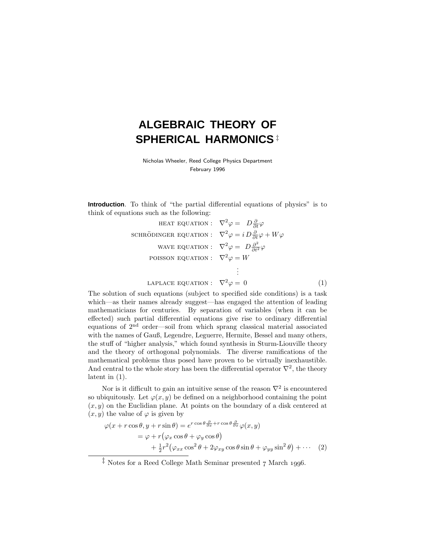# **ALGEBRAIC THEORY OF SPHERICAL HARMONICS** ‡

Nicholas Wheeler, Reed College Physics Department February 1996

**Introduction**. To think of "the partial differential equations of physics" is to think of equations such as the following:

HERT EQUATION: 
$$
\nabla^2 \varphi = D \frac{\partial}{\partial t} \varphi
$$
  
\nSCHRÖDINGER EQUATION: 
$$
\nabla^2 \varphi = i D \frac{\partial}{\partial t} \varphi + W \varphi
$$
  
\nWAVE EQUATION: 
$$
\nabla^2 \varphi = D \frac{\partial^2}{\partial t^2} \varphi
$$
  
\nPOISSON EQUATION: 
$$
\nabla^2 \varphi = W
$$
  
\n:

LAPLACE EQUATION: 
$$
\nabla^2 \varphi = 0 \tag{1}
$$

The solution of such equations (subject to specified side conditions) is a task which—as their names already suggest—has engaged the attention of leading mathematicians for centuries. By separation of variables (when it can be effected) such partial differential equations give rise to ordinary differential equations of 2nd order—soil from which sprang classical material associated with the names of Gauß, Legendre, Leguerre, Hermite, Bessel and many others, the stuff of "higher analysis," which found synthesis in Sturm-Liouville theory and the theory of orthogonal polynomials. The diverse ramifications of the mathematical problems thus posed have proven to be virtually inexhaustible. And central to the whole story has been the differential operator  $\nabla^2$ , the theory latent in (1).

Nor is it difficult to gain an intuitive sense of the reason  $\nabla^2$  is encountered so ubiquitously. Let  $\varphi(x, y)$  be defined on a neighborhood containing the point  $(x, y)$  on the Euclidian plane. At points on the boundary of a disk centered at  $(x, y)$  the value of  $\varphi$  is given by

$$
\varphi(x + r \cos \theta, y + r \sin \theta) = e^{r \cos \theta \frac{\partial}{\partial x} + r \cos \theta \frac{\partial}{\partial x}} \varphi(x, y)
$$
  
=  $\varphi + r (\varphi_x \cos \theta + \varphi_y \cos \theta)$   
+  $\frac{1}{2} r^2 (\varphi_{xx} \cos^2 \theta + 2\varphi_{xy} \cos \theta \sin \theta + \varphi_{yy} \sin^2 \theta) + \cdots$  (2)

 $\frac{1}{4}$  Notes for a Reed College Math Seminar presented 7 March 1996.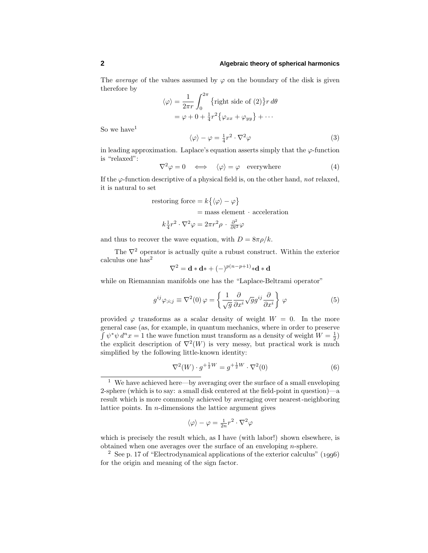The *average* of the values assumed by  $\varphi$  on the boundary of the disk is given therefore by

$$
\langle \varphi \rangle = \frac{1}{2\pi r} \int_0^{2\pi} \{ \text{right side of (2)} \} r \, d\theta
$$

$$
= \varphi + 0 + \frac{1}{4} r^2 \{ \varphi_{xx} + \varphi_{yy} \} + \cdots
$$

So we have  $1$ 

$$
\langle \varphi \rangle - \varphi = \frac{1}{4}r^2 \cdot \nabla^2 \varphi \tag{3}
$$

in leading approximation. Laplace's equation asserts simply that the  $\varphi$ -function is "relaxed":

$$
\nabla^2 \varphi = 0 \iff \langle \varphi \rangle = \varphi \quad \text{everywhere} \tag{4}
$$

If the  $\varphi$ -function descriptive of a physical field is, on the other hand, not relaxed, it is natural to set

restoring force = 
$$
k\{\langle \varphi \rangle - \varphi\}
$$
  
= mass element · acceleration

$$
k \frac{1}{4} r^2 \cdot \nabla^2 \varphi = 2 \pi r^2 \rho \cdot \frac{\partial^2}{\partial t^2} \varphi
$$

and thus to recover the wave equation, with  $D = 8\pi \rho/k$ .

The  $\nabla^2$  operator is actually quite a rubust construct. Within the exterior calculus one has<sup>2</sup>

$$
\nabla^2 = \mathbf{d} \ast \mathbf{d} \ast + (-)^{p(n-p+1)} \ast \mathbf{d} \ast \mathbf{d}
$$

while on Riemannian manifolds one has the "Laplace-Beltrami operator"

$$
g^{ij}\varphi_{;i;j} \equiv \nabla^2(0)\,\varphi = \left\{\frac{1}{\sqrt{g}}\frac{\partial}{\partial x^i}\sqrt{g}g^{ij}\frac{\partial}{\partial x^i}\right\}\,\varphi\tag{5}
$$

provided  $\varphi$  transforms as a scalar density of weight  $W = 0$ . In the more general case (as, for example, in quantum mechanics, where in order to preserve  $\int \psi^* \psi \, d^n x = 1$  the wave function must transform as a density of weight  $W = \frac{1}{2}$ the explicit description of  $\nabla^2(W)$  is very messy, but practical work is much simplified by the following little-known identity:

$$
\nabla^2(W) \cdot g^{+\frac{1}{2}W} = g^{+\frac{1}{2}W} \cdot \nabla^2(0)
$$
 (6)

$$
\langle \varphi \rangle - \varphi = \frac{1}{2n} r^2 \cdot \nabla^2 \varphi
$$

which is precisely the result which, as I have (with labor!) shown elsewhere, is obtained when one averages over the surface of an enveloping *n*-sphere.

<sup>2</sup> See p. 17 of "Electrodynamical applications of the exterior calculus" ( $1996$ ) for the origin and meaning of the sign factor.

 $^{\rm 1}\,$  We have achieved here—by averaging over the surface of a small enveloping 2-sphere (which is to say: a small disk centered at the field-point in question)—a result which is more commonly achieved by averaging over nearest-neighboring lattice points. In *n*-dimensions the lattice argument gives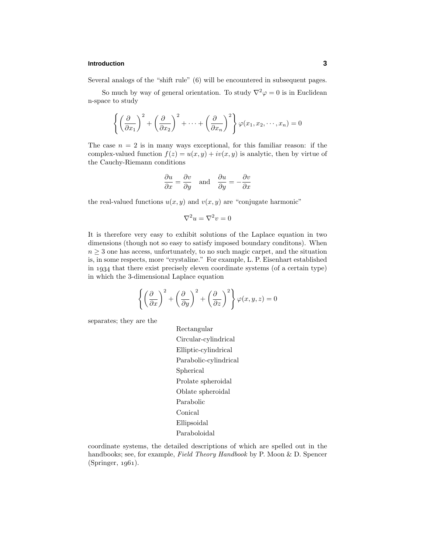## **Introduction 3**

Several analogs of the "shift rule" (6) will be encountered in subsequent pages.

So much by way of general orientation. To study  $\nabla^2 \varphi = 0$  is in Euclidean n-space to study

$$
\left\{ \left( \frac{\partial}{\partial x_1} \right)^2 + \left( \frac{\partial}{\partial x_2} \right)^2 + \dots + \left( \frac{\partial}{\partial x_n} \right)^2 \right\} \varphi(x_1, x_2, \dots, x_n) = 0
$$

The case  $n = 2$  is in many ways exceptional, for this familiar reason: if the complex-valued function  $f(z) = u(x, y) + iv(x, y)$  is analytic, then by virtue of the Cauchy-Riemann conditions

$$
\frac{\partial u}{\partial x} = \frac{\partial v}{\partial y} \quad \text{and} \quad \frac{\partial u}{\partial y} = -\frac{\partial v}{\partial x}
$$

the real-valued functions  $u(x, y)$  and  $v(x, y)$  are "conjugate harmonic"

$$
\nabla^2 u = \nabla^2 v = 0
$$

It is therefore very easy to exhibit solutions of the Laplace equation in two dimensions (though not so easy to satisfy imposed boundary conditons). When  $n \geq 3$  one has access, unfortunately, to no such magic carpet, and the situation is, in some respects, more "crystaline." For example, L. P. Eisenhart established in 1934 that there exist precisely eleven coordinate systems (of a certain type) in which the 3-dimensional Laplace equation

$$
\left\{ \left( \frac{\partial}{\partial x} \right)^2 + \left( \frac{\partial}{\partial y} \right)^2 + \left( \frac{\partial}{\partial z} \right)^2 \right\} \varphi(x, y, z) = 0
$$

separates; they are the

Rectangular Circular-cylindrical Elliptic-cylindrical Parabolic-cylindrical Spherical Prolate spheroidal Oblate spheroidal Parabolic Conical Ellipsoidal Paraboloidal

coordinate systems, the detailed descriptions of which are spelled out in the handbooks; see, for example, Field Theory Handbook by P. Moon & D. Spencer  $(Springer, 1961).$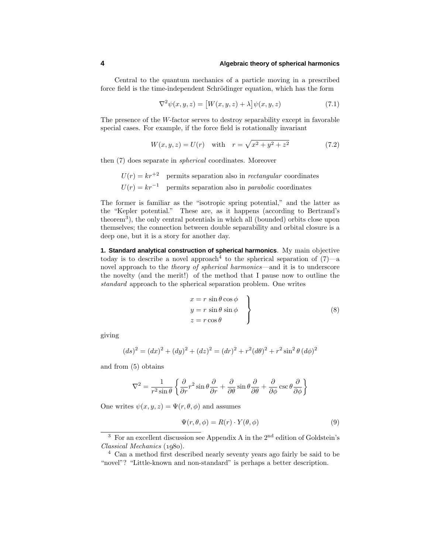Central to the quantum mechanics of a particle moving in a prescribed force field is the time-independent Schrödinger equation, which has the form

$$
\nabla^2 \psi(x, y, z) = [W(x, y, z) + \lambda] \psi(x, y, z)
$$
\n(7.1)

The presence of the *W*-factor serves to destroy separability except in favorable special cases. For example, if the force field is rotationally invariant

$$
W(x, y, z) = U(r) \quad \text{with} \quad r = \sqrt{x^2 + y^2 + z^2} \tag{7.2}
$$

then (7) does separate in spherical coordinates. Moreover

 $U(r) = kr^{2}$  permits separation also in *rectangular* coordinates  $U(r) = kr^{-1}$  permits separation also in *parabolic* coordinates

The former is familiar as the "isotropic spring potential," and the latter as the "Kepler potential." These are, as it happens (according to Bertrand's theorem<sup>3</sup>), the only central potentials in which all (bounded) orbits close upon themselves; the connection between double separability and orbital closure is a deep one, but it is a story for another day.

**1. Standard analytical construction of spherical harmonics**. My main objective today is to describe a novel approach<sup>4</sup> to the spherical separation of  $(7)$ —a novel approach to the *theory of spherical harmonics*—and it is to underscore the novelty (and the merit!) of the method that I pause now to outline the standard approach to the spherical separation problem. One writes

$$
x = r \sin \theta \cos \phi \n y = r \sin \theta \sin \phi \n z = r \cos \theta
$$
\n(8)

giving

$$
(ds)^{2} = (dx)^{2} + (dy)^{2} + (dz)^{2} = (dr)^{2} + r^{2}(d\theta)^{2} + r^{2}\sin^{2}\theta (d\phi)^{2}
$$

and from (5) obtains

$$
\nabla^2 = \frac{1}{r^2 \sin \theta} \left\{ \frac{\partial}{\partial r} r^2 \sin \theta \frac{\partial}{\partial r} + \frac{\partial}{\partial \theta} \sin \theta \frac{\partial}{\partial \theta} + \frac{\partial}{\partial \phi} \csc \theta \frac{\partial}{\partial \phi} \right\}
$$

One writes  $\psi(x, y, z) = \Psi(r, \theta, \phi)$  and assumes

$$
\Psi(r,\theta,\phi) = R(r) \cdot Y(\theta,\phi) \tag{9}
$$

 $3$  For an excellent discussion see Appendix A in the  $2<sup>nd</sup>$  edition of Goldstein's  $Classical Mechanics (1980).$ 

<sup>4</sup> Can a method first described nearly seventy years ago fairly be said to be "novel"? "Little-known and non-standard" is perhaps a better description.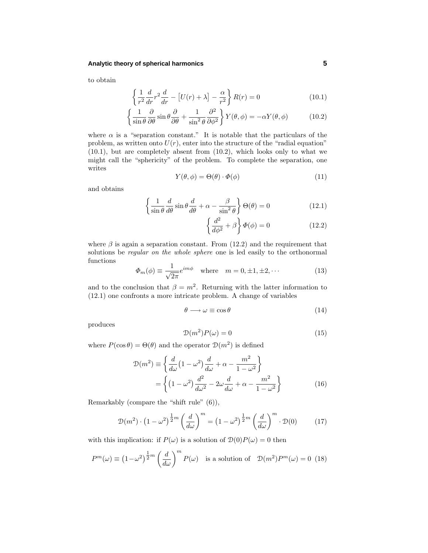#### **Analytic theory of spherical harmonics 5**

to obtain

$$
\left\{\frac{1}{r^2}\frac{d}{dr}r^2\frac{d}{dr} - \left[U(r) + \lambda\right] - \frac{\alpha}{r^2}\right\}R(r) = 0\tag{10.1}
$$

$$
\left\{\frac{1}{\sin\theta}\frac{\partial}{\partial\theta}\sin\theta\frac{\partial}{\partial\theta} + \frac{1}{\sin^2\theta}\frac{\partial^2}{\partial\phi^2}\right\}Y(\theta,\phi) = -\alpha Y(\theta,\phi) \tag{10.2}
$$

where  $\alpha$  is a "separation constant." It is notable that the particulars of the problem, as written onto  $U(r)$ , enter into the structure of the "radial equation" (10.1), but are completely absent from (10.2), which looks only to what we might call the "sphericity" of the problem. To complete the separation, one writes

$$
Y(\theta, \phi) = \Theta(\theta) \cdot \Phi(\phi) \tag{11}
$$

and obtains

$$
\left\{\frac{1}{\sin\theta}\frac{d}{d\theta}\sin\theta\frac{d}{d\theta} + \alpha - \frac{\beta}{\sin^2\theta}\right\}\Theta(\theta) = 0
$$
\n(12.1)

$$
\left\{\frac{d^2}{d\phi^2} + \beta\right\}\Phi(\phi) = 0\tag{12.2}
$$

where  $\beta$  is again a separation constant. From (12.2) and the requirement that solutions be *regular on the whole sphere* one is led easily to the orthonormal functions

$$
\Phi_m(\phi) \equiv \frac{1}{\sqrt{2\pi}} e^{im\phi} \quad \text{where} \quad m = 0, \pm 1, \pm 2, \cdots \tag{13}
$$

and to the conclusion that  $\beta = m^2$ . Returning with the latter information to (12.1) one confronts a more intricate problem. A change of variables

$$
\theta \longrightarrow \omega \equiv \cos \theta \tag{14}
$$

produces

$$
\mathcal{D}(m^2)P(\omega) = 0\tag{15}
$$

where  $P(\cos \theta) = \Theta(\theta)$  and the operator  $\mathcal{D}(m^2)$  is defined

$$
\mathcal{D}(m^2) \equiv \left\{ \frac{d}{d\omega} \left( 1 - \omega^2 \right) \frac{d}{d\omega} + \alpha - \frac{m^2}{1 - \omega^2} \right\}
$$

$$
= \left\{ \left( 1 - \omega^2 \right) \frac{d^2}{d\omega^2} - 2\omega \frac{d}{d\omega} + \alpha - \frac{m^2}{1 - \omega^2} \right\} \tag{16}
$$

Remarkably (compare the "shift rule" (6)),

$$
\mathcal{D}(m^2) \cdot \left(1 - \omega^2\right)^{\frac{1}{2}m} \left(\frac{d}{d\omega}\right)^m = \left(1 - \omega^2\right)^{\frac{1}{2}m} \left(\frac{d}{d\omega}\right)^m \cdot \mathcal{D}(0) \tag{17}
$$

with this implication: if  $P(\omega)$  is a solution of  $D(0)P(\omega) = 0$  then

$$
P^{m}(\omega) \equiv \left(1 - \omega^{2}\right)^{\frac{1}{2}m} \left(\frac{d}{d\omega}\right)^{m} P(\omega) \quad \text{is a solution of} \quad \mathcal{D}(m^{2}) P^{m}(\omega) = 0 \tag{18}
$$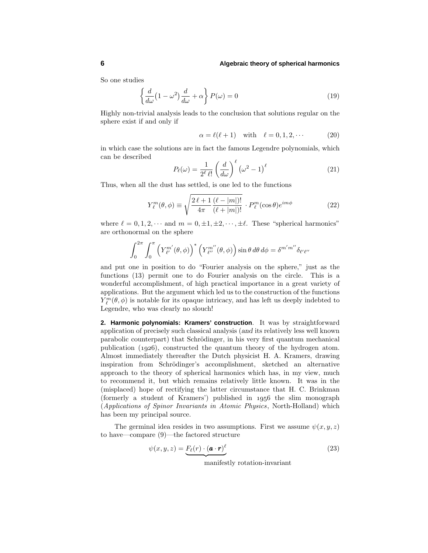So one studies

$$
\left\{\frac{d}{d\omega}\left(1-\omega^2\right)\frac{d}{d\omega}+\alpha\right\}P(\omega)=0\tag{19}
$$

Highly non-trivial analysis leads to the conclusion that solutions regular on the sphere exist if and only if

$$
\alpha = \ell(\ell + 1) \quad \text{with} \quad \ell = 0, 1, 2, \cdots \tag{20}
$$

in which case the solutions are in fact the famous Legendre polynomials, which can be described

$$
P_{\ell}(\omega) = \frac{1}{2^{\ell} \ell!} \left(\frac{d}{d\omega}\right)^{\ell} \left(\omega^2 - 1\right)^{\ell} \tag{21}
$$

Thus, when all the dust has settled, is one led to the functions

$$
Y_{\ell}^{m}(\theta,\phi) \equiv \sqrt{\frac{2\,\ell+1}{4\pi} \frac{(\ell-|m|)!}{(\ell+|m|)!}} \cdot P_{\ell}^{m}(\cos\theta)e^{im\phi}
$$
 (22)

where  $\ell = 0, 1, 2, \cdots$  and  $m = 0, \pm 1, \pm 2, \cdots, \pm \ell$ . These "spherical harmonics" are orthonormal on the sphere

$$
\int_0^{2\pi} \int_0^{\pi} \left( Y_{\ell'}^{m'}(\theta,\phi) \right)^* \left( Y_{\ell''}^{m''}(\theta,\phi) \right) \sin \theta \, d\theta \, d\phi = \delta^{m'm''} \delta_{\ell'\ell''}
$$

and put one in position to do "Fourier analysis on the sphere," just as the functions (13) permit one to do Fourier analysis on the circle. This is a wonderful accomplishment, of high practical importance in a great variety of applications. But the argument which led us to the construction of the functions  $Y^m_{\ell}(\theta, \phi)$  is notable for its opaque intricacy, and has left us deeply indebted to Legendre, who was clearly no slouch!

**2. Harmonic polynomials: Kramers' construction**. It was by straightforward application of precisely such classical analysis (*and* its relatively less well known parabolic counterpart) that Schrödinger, in his very first quantum mechanical publication  $(1926)$ , constructed the quantum theory of the hydrogen atom. Almost immediately thereafter the Dutch physicist H. A. Kramers, drawing inspiration from Schrödinger's accomplishment, sketched an alternative approach to the theory of spherical harmonics which has, in my view, much to recommend it, but which remains relatively little known. It was in the (misplaced) hope of rectifying the latter circumstance that H. C. Brinkman (formerly a student of Kramers') published in  $1956$  the slim monograph (Applications of Spinor Invariants in Atomic Physics, North-Holland) which has been my principal source.

The germinal idea resides in two assumptions. First we assume  $\psi(x, y, z)$ to have—compare (9)—the factored structure

$$
\psi(x, y, z) = \underbrace{F_{\ell}(r) \cdot (\mathbf{a} \cdot \mathbf{r})^{\ell}}_{\text{magnif.} \text{path notation} \text{ is a given in } \mathbb{R}} \tag{23}
$$

manifestly rotation-invariant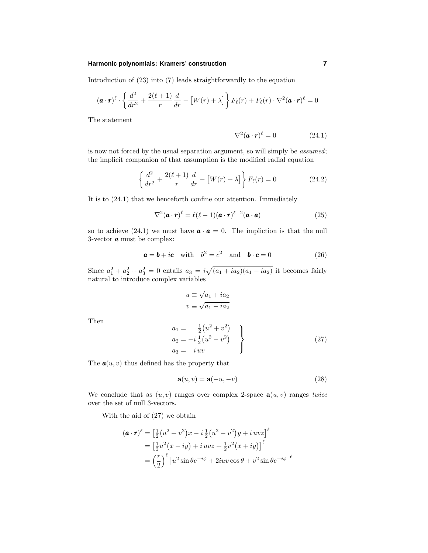#### **Harmonic polynomials: Kramers' construction 7**

Introduction of (23) into (7) leads straightforwardly to the equation

$$
(\mathbf{a} \cdot \mathbf{r})^{\ell} \cdot \left\{ \frac{d^2}{dr^2} + \frac{2(\ell+1)}{r} \frac{d}{dr} - \left[ W(r) + \lambda \right] \right\} F_{\ell}(r) + F_{\ell}(r) \cdot \nabla^2 (\mathbf{a} \cdot \mathbf{r})^{\ell} = 0
$$

The statement

$$
\nabla^2 (\boldsymbol{a} \cdot \boldsymbol{r})^{\ell} = 0 \tag{24.1}
$$

is now not forced by the usual separation argument, so will simply be assumed; the implicit companion of that assumption is the modified radial equation

$$
\left\{\frac{d^2}{dr^2} + \frac{2(\ell+1)}{r}\frac{d}{dr} - \left[W(r) + \lambda\right]\right\} F_{\ell}(r) = 0 \tag{24.2}
$$

It is to (24.1) that we henceforth confine our attention. Immediately

$$
\nabla^2 (\boldsymbol{a} \cdot \boldsymbol{r})^{\ell} = \ell(\ell-1)(\boldsymbol{a} \cdot \boldsymbol{r})^{\ell-2}(\boldsymbol{a} \cdot \boldsymbol{a}) \tag{25}
$$

so to achieve (24.1) we must have  $\mathbf{a} \cdot \mathbf{a} = 0$ . The impliction is that the null 3-vector *a* must be complex:

$$
\mathbf{a} = \mathbf{b} + i\mathbf{c} \quad \text{with} \quad b^2 = c^2 \quad \text{and} \quad \mathbf{b} \cdot \mathbf{c} = 0 \tag{26}
$$

Since  $a_1^2 + a_2^2 + a_3^2 = 0$  entails  $a_3 = i\sqrt{(a_1 + ia_2)(a_1 - ia_2)}$  it becomes fairly natural to introduce complex variables

$$
u \equiv \sqrt{a_1 + ia_2}
$$
  

$$
v \equiv \sqrt{a_1 - ia_2}
$$

Then

$$
a_1 = \frac{1}{2}(u^2 + v^2) a_2 = -i\frac{1}{2}(u^2 - v^2) a_3 = i uv
$$
 (27)

The  $a(u, v)$  thus defined has the property that

$$
\mathbf{a}(u,v) = \mathbf{a}(-u,-v) \tag{28}
$$

We conclude that as  $(u, v)$  ranges over complex 2-space  $\mathbf{a}(u, v)$  ranges twice over the set of null 3-vectors.

With the aid of (27) we obtain

$$
(\mathbf{a} \cdot \mathbf{r})^{\ell} = \left[\frac{1}{2}(u^2 + v^2)x - i\frac{1}{2}(u^2 - v^2)y + i uvz\right]^{\ell}
$$
  
=  $\left[\frac{1}{2}u^2(x - iy) + i uvz + \frac{1}{2}v^2(x + iy)\right]^{\ell}$   
=  $\left(\frac{r}{2}\right)^{\ell} \left[u^2 \sin \theta e^{-i\phi} + 2iuv \cos \theta + v^2 \sin \theta e^{+i\phi}\right]^{\ell}$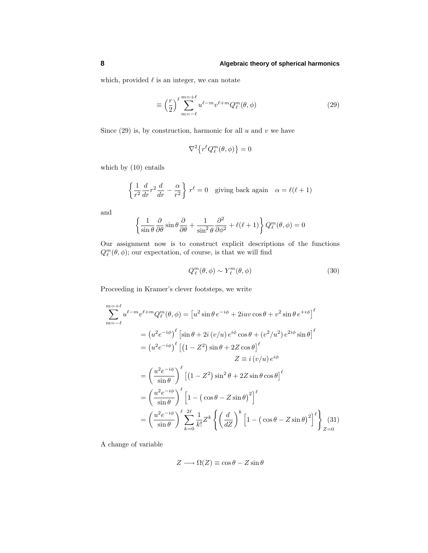which, provided  $\ell$  is an integer, we can notate

$$
\equiv \left(\frac{r}{2}\right)^{\ell} \sum_{m=-\ell}^{m=+\ell} u^{\ell-m} v^{\ell+m} Q_{\ell}^{m}(\theta,\phi) \tag{29}
$$

Since  $(29)$  is, by construction, harmonic for all  $u$  and  $v$  we have

$$
\nabla^2 \left\{ r^\ell Q_\ell^m(\theta, \phi) \right\} = 0
$$

which by (10) entails

$$
\left\{\frac{1}{r^2}\frac{d}{dr}r^2\frac{d}{dr} - \frac{\alpha}{r^2}\right\} r^{\ell} = 0 \quad \text{giving back again} \quad \alpha = \ell(\ell+1)
$$

and

$$
\left\{\frac{1}{\sin\theta}\frac{\partial}{\partial\theta}\sin\theta\frac{\partial}{\partial\theta} + \frac{1}{\sin^2\theta}\frac{\partial^2}{\partial\phi^2} + \ell(\ell+1)\right\}Q_{\ell}^m(\theta,\phi) = 0
$$

Our assignment now is to construct explicit descriptions of the functions  $Q_{\ell}^m(\theta, \phi)$ ; our expectation, of course, is that we will find

$$
Q_{\ell}^{m}(\theta,\phi) \sim Y_{\ell}^{m}(\theta,\phi) \tag{30}
$$

Proceeding in Kramer's clever footsteps, we write

$$
\sum_{m=-\ell}^{m=+\ell} u^{\ell-m} v^{\ell+m} Q_{\ell}^{m}(\theta, \phi) = \left[ u^{2} \sin \theta e^{-i\phi} + 2iuv \cos \theta + v^{2} \sin \theta e^{+i\phi} \right]^{\ell}
$$
  
\n
$$
= \left( u^{2} e^{-i\phi} \right)^{\ell} \left[ \sin \theta + 2i \left( v/u \right) e^{i\phi} \cos \theta + \left( v^{2}/u^{2} \right) e^{2i\phi} \sin \theta \right]^{\ell}
$$
  
\n
$$
= \left( u^{2} e^{-i\phi} \right)^{\ell} \left[ \left( 1 - Z^{2} \right) \sin \theta + 2Z \cos \theta \right]^{\ell}
$$
  
\n
$$
Z = i \left( v/u \right) e^{i\phi}
$$
  
\n
$$
= \left( \frac{u^{2} e^{-i\phi}}{\sin \theta} \right)^{\ell} \left[ \left( 1 - Z^{2} \right) \sin^{2} \theta + 2Z \sin \theta \cos \theta \right]^{\ell}
$$
  
\n
$$
= \left( \frac{u^{2} e^{-i\phi}}{\sin \theta} \right)^{\ell} \left[ 1 - \left( \cos \theta - Z \sin \theta \right)^{2} \right]^{\ell}
$$
  
\n
$$
= \left( \frac{u^{2} e^{-i\phi}}{\sin \theta} \right)^{\ell} \sum_{k=0}^{2\ell} \frac{1}{k!} Z^{k} \left\{ \left( \frac{d}{dZ} \right)^{k} \left[ 1 - \left( \cos \theta - Z \sin \theta \right)^{2} \right]^{\ell} \right\}_{Z=0}^{2(31)}
$$

A change of variable

$$
Z \longrightarrow \Omega(Z) \equiv \cos \theta - Z \sin \theta
$$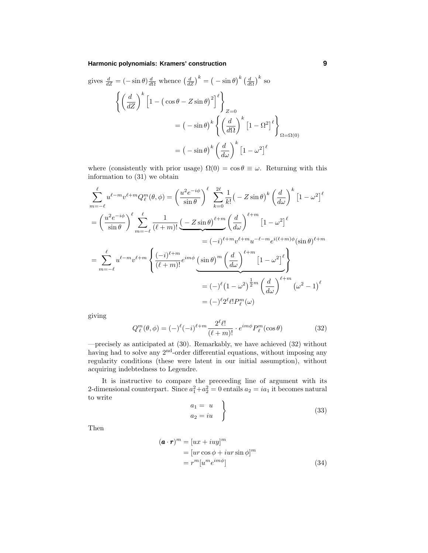#### **Harmonic polynomials: Kramers' construction 9**

gives 
$$
\frac{d}{dZ} = (-\sin \theta) \frac{d}{d\Omega}
$$
 whence  $\left(\frac{d}{dZ}\right)^k = (-\sin \theta)^k \left(\frac{d}{d\Omega}\right)^k$  so  
\n
$$
\left\{ \left(\frac{d}{dZ}\right)^k \left[1 - (\cos \theta - Z \sin \theta)^2\right]^{\ell} \right\}_{Z=0}
$$
\n
$$
= (-\sin \theta)^k \left\{ \left(\frac{d}{d\Omega}\right)^k \left[1 - \Omega^2\right]^{\ell} \right\}_{\Omega = \Omega(0)}
$$
\n
$$
= (-\sin \theta)^k \left(\frac{d}{d\omega}\right)^k \left[1 - \omega^2\right]^{\ell}
$$

where (consistently with prior usage)  $\Omega(0) = \cos \theta \equiv \omega$ . Returning with this information to (31) we obtain

$$
\sum_{m=-\ell}^{\ell} u^{\ell-m} v^{\ell+m} Q_{\ell}^{m}(\theta, \phi) = \left(\frac{u^{2} e^{-i\phi}}{\sin \theta}\right)^{\ell} \sum_{k=0}^{2\ell} \frac{1}{k!} \left(-Z \sin \theta\right)^{k} \left(\frac{d}{d\omega}\right)^{k} \left[1 - \omega^{2}\right]^{\ell}
$$

$$
= \left(\frac{u^{2} e^{-i\phi}}{\sin \theta}\right)^{\ell} \sum_{m=-\ell}^{\ell} \frac{1}{(\ell+m)!} \underbrace{\left(-Z \sin \theta\right)^{\ell+m}}_{\equiv (-i)^{\ell+m} v^{\ell+m} u^{-\ell-m} e^{i(\ell+m)\phi} (\sin \theta)^{\ell+m}
$$

$$
= \sum_{m=-\ell}^{\ell} u^{\ell-m} v^{\ell+m} \left\{\frac{(-i)^{\ell+m}}{(\ell+m)!} e^{im\phi} \underbrace{\left(\sin \theta\right)^{m} \left(\frac{d}{d\omega}\right)^{\ell+m}}_{\equiv (-)^{\ell} (1 - \omega^{2})^{\frac{1}{2}m} \left(\frac{d}{d\omega}\right)^{\ell+m}} \underbrace{\left(1 - \omega^{2}\right)^{\ell}}_{\equiv (-)^{\ell} 2^{\ell} \ell! P_{\ell}^{m}(\omega)}
$$

giving

$$
Q_{\ell}^{m}(\theta,\phi) = (-)^{\ell}(-i)^{\ell+m} \frac{2^{\ell}\ell!}{(\ell+m)!} \cdot e^{im\phi} P_{\ell}^{m}(\cos\theta)
$$
 (32)

—precisely as anticipated at (30). Remarkably, we have achieved (32) without having had to solve any 2<sup>nd</sup>-order differential equations, without imposing any regularity conditions (these were latent in our initial assumption), without acquiring indebtedness to Legendre.

It is instructive to compare the preceeding line of argument with its 2-dimensional counterpart. Since  $a_1^2 + a_2^2 = 0$  entails  $a_2 = ia_1$  it becomes natural to write

$$
\begin{aligned}\n a_1 &= u \\
 a_2 &= iu\n \end{aligned}\n \tag{33}
$$

Then

$$
(\mathbf{a} \cdot \mathbf{r})^m = [ux + iuy]^m
$$
  
= [ur cos  $\phi$  + iur sin  $\phi$ ]<sup>m</sup>  
=  $r^m[u^m e^{im\phi}]$  (34)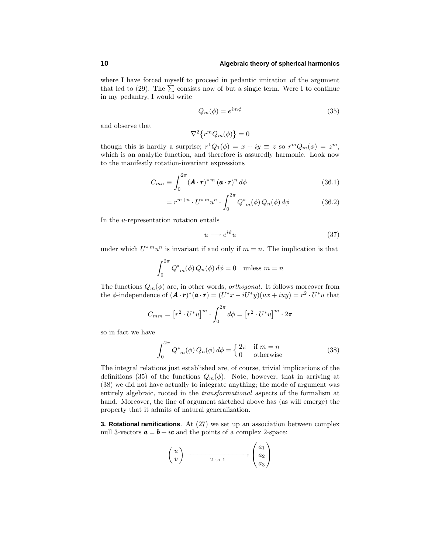where I have forced myself to proceed in pedantic imitation of the argument that led to (29). The  $\Sigma$  consists now of but a single term. Were I to continue in my pedantry, I would write

$$
Q_m(\phi) = e^{im\phi} \tag{35}
$$

and observe that

$$
\nabla^2 \left\{ r^m Q_m(\phi) \right\} = 0
$$

though this is hardly a surprise;  $r^1Q_1(\phi) = x + iy \equiv z$  so  $r^mQ_m(\phi) = z^m$ , which is an analytic function, and therefore is assuredly harmonic. Look now to the manifestly rotation-invariant expressions

$$
C_{mn} \equiv \int_0^{2\pi} (\mathbf{A} \cdot \mathbf{r})^{* m} (\mathbf{a} \cdot \mathbf{r})^n d\phi \qquad (36.1)
$$

$$
= r^{m+n} \cdot U^{*m} u^n \cdot \int_0^{2\pi} Q^*_{m}(\phi) Q_n(\phi) d\phi \qquad (36.2)
$$

In the *u*-representation rotation entails

$$
u \longrightarrow e^{i\vartheta} u \tag{37}
$$

under which  $U^*^m u^n$  is invariant if and only if  $m = n$ . The implication is that

$$
\int_0^{2\pi} Q^*_{m}(\phi) Q_n(\phi) d\phi = 0 \quad \text{unless } m = n
$$

The functions  $Q_m(\phi)$  are, in other words, *orthogonal*. It follows moreover from the  $\phi$ -independence of  $(\mathbf{A} \cdot \mathbf{r})^*(\mathbf{a} \cdot \mathbf{r}) = (U^*x - iU^*y)(ux + iuy) = r^2 \cdot U^*u$  that

$$
C_{mm} = \left[r^2 \cdot U^* u\right]^m \cdot \int_0^{2\pi} d\phi = \left[r^2 \cdot U^* u\right]^m \cdot 2\pi
$$

so in fact we have

$$
\int_0^{2\pi} Q_{m}^*(\phi) Q_n(\phi) d\phi = \begin{cases} 2\pi & \text{if } m = n \\ 0 & \text{otherwise} \end{cases}
$$
 (38)

The integral relations just established are, of course, trivial implications of the definitions (35) of the functions  $Q_m(\phi)$ . Note, however, that in arriving at (38) we did not have actually to integrate anything; the mode of argument was entirely algebraic, rooted in the transformational aspects of the formalism at hand. Moreover, the line of argument sketched above has (as will emerge) the property that it admits of natural generalization.

**3. Rotational ramifications**. At (27) we set up an association between complex null 3-vectors  $\mathbf{a} = \mathbf{b} + i\mathbf{c}$  and the points of a complex 2-space:

$$
\begin{pmatrix} u \\ v \end{pmatrix} \xrightarrow{\qquad \qquad } \begin{pmatrix} a_1 \\ a_2 \\ a_3 \end{pmatrix}
$$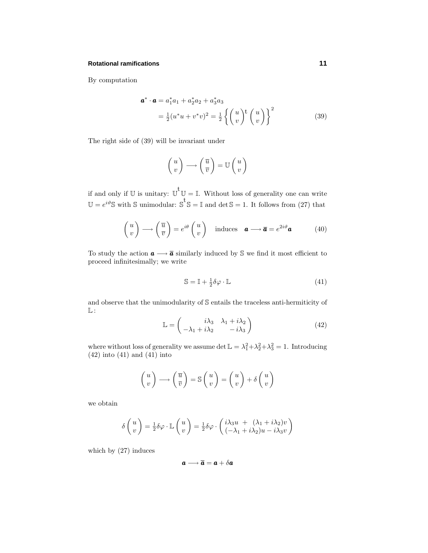#### **Rotational ramifications 11**

By computation

$$
\mathbf{a}^* \cdot \mathbf{a} = a_1^* a_1 + a_2^* a_2 + a_3^* a_3 = \frac{1}{2} (u^* u + v^* v)^2 = \frac{1}{2} \left\{ \begin{pmatrix} u \\ v \end{pmatrix}^{\dagger} \begin{pmatrix} u \\ v \end{pmatrix} \right\}^2
$$
(39)

The right side of (39) will be invariant under

$$
\begin{pmatrix} u \\ v \end{pmatrix} \longrightarrow \begin{pmatrix} \overline{u} \\ \overline{v} \end{pmatrix} = \mathbb{U} \begin{pmatrix} u \\ v \end{pmatrix}
$$

if and only if U is unitary:  $\mathbb{U}^{\dagger}\mathbb{U} = \mathbb{I}$ . Without loss of generality one can write  $\mathbb{U} = e^{i\vartheta} \mathbb{S}$  with  $\mathbb{S}$  unimodular:  $\mathbb{S}^{\mathbb{t}} \mathbb{S} = \mathbb{I}$  and  $\det \mathbb{S} = 1$ . It follows from (27) that

$$
\begin{pmatrix} u \\ v \end{pmatrix} \longrightarrow \begin{pmatrix} \overline{u} \\ \overline{v} \end{pmatrix} = e^{i\theta} \begin{pmatrix} u \\ v \end{pmatrix} \text{ induces } \mathbf{a} \longrightarrow \overline{\mathbf{a}} = e^{2i\vartheta} \mathbf{a} \tag{40}
$$

To study the action  $a \longrightarrow \overline{a}$  similarly induced by  $\mathbb S$  we find it most efficient to proceed infinitesimally; we write

$$
\mathbb{S} = \mathbb{I} + \frac{1}{2}\delta\varphi \cdot \mathbb{L} \tag{41}
$$

and observe that the unimodularity of S entails the traceless anti-hermiticity of  $\mathbb{L}$ :

$$
\mathbb{L} = \begin{pmatrix} i\lambda_3 & \lambda_1 + i\lambda_2 \\ -\lambda_1 + i\lambda_2 & -i\lambda_3 \end{pmatrix}
$$
 (42)

where without loss of generality we assume  $\det \mathbb{L} = \lambda_1^2 + \lambda_2^2 + \lambda_3^2 = 1$ . Introducing (42) into (41) and (41) into

$$
\begin{pmatrix} u \\ v \end{pmatrix} \longrightarrow \begin{pmatrix} \overline{u} \\ \overline{v} \end{pmatrix} = \mathbb{S} \begin{pmatrix} u \\ v \end{pmatrix} = \begin{pmatrix} u \\ v \end{pmatrix} + \delta \begin{pmatrix} u \\ v \end{pmatrix}
$$

we obtain

$$
\delta\begin{pmatrix}u\\v\end{pmatrix} = \frac{1}{2}\delta\varphi \cdot \mathbb{L}\begin{pmatrix}u\\v\end{pmatrix} = \frac{1}{2}\delta\varphi \cdot \begin{pmatrix}i\lambda_3u + (\lambda_1 + i\lambda_2)v\\(-\lambda_1 + i\lambda_2)u - i\lambda_3v\end{pmatrix}
$$

which by (27) induces

$$
a\longrightarrow \overline{a}=a+\delta a
$$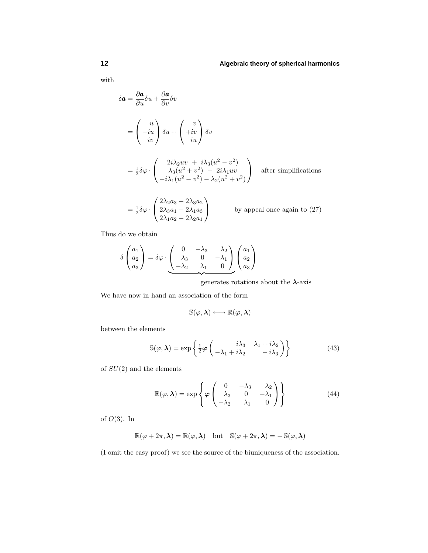with

$$
\delta \mathbf{a} = \frac{\partial \mathbf{a}}{\partial u} \delta u + \frac{\partial \mathbf{a}}{\partial v} \delta v
$$
  
=  $\begin{pmatrix} u \\ -iu \\ iv \end{pmatrix} \delta u + \begin{pmatrix} v \\ +iv \\ iu \end{pmatrix} \delta v$   
=  $\frac{1}{2} \delta \varphi \cdot \begin{pmatrix} 2i\lambda_2 uv + i\lambda_3 (u^2 - v^2) \\ \lambda_3 (u^2 + v^2) - 2i\lambda_1 uv \\ -i\lambda_1 (u^2 - v^2) - \lambda_2 (u^2 + v^2) \end{pmatrix}$  after simplifications

$$
= \frac{1}{2}\delta\varphi \cdot \begin{pmatrix} 2\lambda_2 a_3 - 2\lambda_3 a_2 \\ 2\lambda_3 a_1 - 2\lambda_1 a_3 \\ 2\lambda_1 a_2 - 2\lambda_2 a_1 \end{pmatrix}
$$
 by appeal once again to (27)

Thus do we obtain

$$
\delta \begin{pmatrix} a_1 \\ a_2 \\ a_3 \end{pmatrix} = \delta \varphi \cdot \underbrace{\begin{pmatrix} 0 & -\lambda_3 & \lambda_2 \\ \lambda_3 & 0 & -\lambda_1 \\ -\lambda_2 & \lambda_1 & 0 \end{pmatrix}}_{\mathcal{A}} \begin{pmatrix} a_1 \\ a_2 \\ a_3 \end{pmatrix}
$$

generates rotations about the *λ*-axis

We have now in hand an association of the form

$$
\mathbb{S}(\varphi, \boldsymbol{\lambda}) \longleftrightarrow \mathbb{R}(\boldsymbol{\varphi}, \boldsymbol{\lambda})
$$

between the elements

$$
\mathbb{S}(\varphi,\lambda) = \exp\left\{\frac{1}{2}\varphi\begin{pmatrix} i\lambda_3 & \lambda_1 + i\lambda_2\\ -\lambda_1 + i\lambda_2 & -i\lambda_3 \end{pmatrix}\right\}
$$
(43)

of *SU*(2) and the elements

$$
\mathbb{R}(\varphi,\lambda) = \exp\left\{\varphi\begin{pmatrix} 0 & -\lambda_3 & \lambda_2 \\ \lambda_3 & 0 & -\lambda_1 \\ -\lambda_2 & \lambda_1 & 0 \end{pmatrix}\right\}
$$
(44)

of *O*(3). In

$$
\mathbb{R}(\varphi+2\pi,\boldsymbol{\lambda})=\mathbb{R}(\varphi,\boldsymbol{\lambda})\quad\text{but}\quad \mathbb{S}(\varphi+2\pi,\boldsymbol{\lambda})=-\,\mathbb{S}(\varphi,\boldsymbol{\lambda})
$$

(I omit the easy proof) we see the source of the biuniqueness of the association.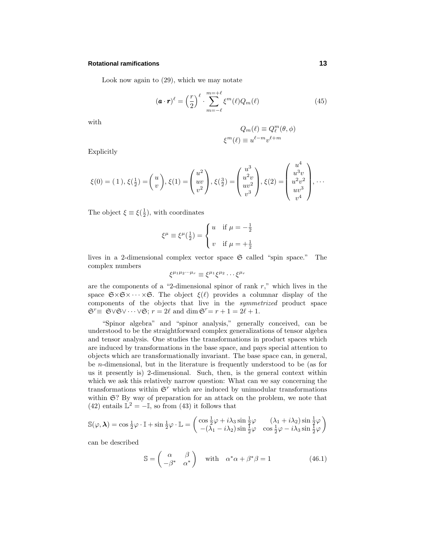#### **Rotational ramifications 13**

Look now again to (29), which we may notate

$$
(\mathbf{a} \cdot \mathbf{r})^{\ell} = \left(\frac{r}{2}\right)^{\ell} \cdot \sum_{m=-\ell}^{m=+\ell} \xi^m(\ell) Q_m(\ell) \tag{45}
$$

with

$$
Q_m(\ell) \equiv Q_\ell^m(\theta, \phi)
$$
  

$$
\xi^m(\ell) \equiv u^{\ell - m} v^{\ell + m}
$$

Explicitly

$$
\xi(0) = (1), \xi(\frac{1}{2}) = \begin{pmatrix} u \\ v \end{pmatrix}, \xi(1) = \begin{pmatrix} u^2 \\ uv \\ v^2 \end{pmatrix}, \xi(\frac{3}{2}) = \begin{pmatrix} u^3 \\ u^2v \\ uv^2 \\ v^3 \end{pmatrix}, \xi(2) = \begin{pmatrix} u^4 \\ u^3v \\ u^2v^2 \\ uv^3 \\ v^4 \end{pmatrix}, \dots
$$

The object  $\xi \equiv \xi(\frac{1}{2})$ , with coordinates

$$
\xi^{\mu} \equiv \xi^{\mu}(\frac{1}{2}) = \begin{cases} u & \text{if } \mu = -\frac{1}{2} \\ v & \text{if } \mu = +\frac{1}{2} \end{cases}
$$

lives in a 2-dimensional complex vector space  $\mathfrak{S}$  called "spin space." The complex numbers

$$
\xi^{\mu_1\mu_2\cdots\mu_r} \equiv \xi^{\mu_1}\xi^{\mu_2}\cdots\xi^{\mu_r}
$$

are the components of a "2-dimensional spinor of rank *r*," which lives in the space  $\mathfrak{S} \times \mathfrak{S} \times \cdots \times \mathfrak{S}$ . The object  $\xi(\ell)$  provides a columnar display of the components of the objects that live in the symmetrized product space  $\mathfrak{S}^r \equiv \mathfrak{S} \vee \mathfrak{S} \vee \cdots \vee \mathfrak{S}; r = 2\ell \text{ and } \dim \mathfrak{S}^r = r + 1 = 2\ell + 1.$ 

"Spinor algebra" and "spinor analysis," generally conceived, can be understood to be the straightforward complex generalizations of tensor algebra and tensor analysis. One studies the transformations in product spaces which are induced by transformations in the base space, and pays special attention to objects which are transformationally invariant. The base space can, in general, be *n*-dimensional, but in the literature is frequently understood to be (as for us it presently is) 2-dimensional. Such, then, is the general context within which we ask this relatively narrow question: What can we say concerning the transformations within  $\mathfrak{S}^r$  which are induced by unimodular transformations within  $\mathfrak{S}$ ? By way of preparation for an attack on the problem, we note that (42) entails  $\mathbb{L}^2 = -\mathbb{I}$ , so from (43) it follows that

$$
\mathbb{S}(\varphi, \lambda) = \cos \frac{1}{2}\varphi \cdot \mathbb{I} + \sin \frac{1}{2}\varphi \cdot \mathbb{L} = \begin{pmatrix} \cos \frac{1}{2}\varphi + i\lambda_3 \sin \frac{1}{2}\varphi & (\lambda_1 + i\lambda_2) \sin \frac{1}{2}\varphi \\ -(\lambda_1 - i\lambda_2) \sin \frac{1}{2}\varphi & \cos \frac{1}{2}\varphi - i\lambda_3 \sin \frac{1}{2}\varphi \end{pmatrix}
$$

can be described

$$
\mathbb{S} = \begin{pmatrix} \alpha & \beta \\ -\beta^* & \alpha^* \end{pmatrix} \quad \text{with} \quad \alpha^* \alpha + \beta^* \beta = 1 \tag{46.1}
$$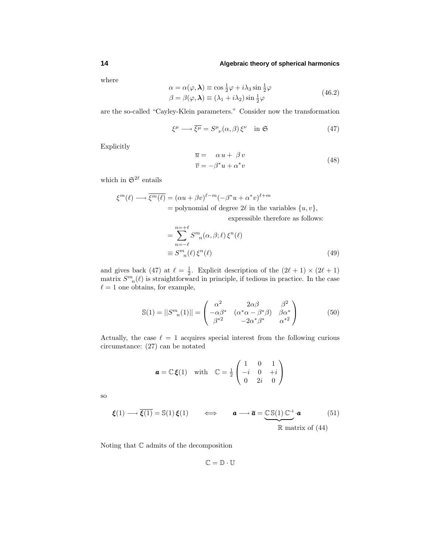where

$$
\alpha = \alpha(\varphi, \lambda) \equiv \cos \frac{1}{2}\varphi + i\lambda_3 \sin \frac{1}{2}\varphi
$$
  

$$
\beta = \beta(\varphi, \lambda) \equiv (\lambda_1 + i\lambda_2) \sin \frac{1}{2}\varphi
$$
 (46.2)

are the so-called "Cayley-Klein parameters." Consider now the transformation

$$
\xi^{\mu} \longrightarrow \overline{\xi^{\mu}} = S^{\mu}_{\ \nu}(\alpha, \beta) \xi^{\nu} \quad \text{in } \mathfrak{S} \tag{47}
$$

Explicitly

$$
\overline{u} = \alpha u + \beta v \n\overline{v} = -\beta^* u + \alpha^* v
$$
\n(48)

which in  $\mathfrak{S}^{2\ell}$  entails

$$
\xi^{m}(\ell) \longrightarrow \overline{\xi^{m}(\ell)} = (\alpha u + \beta v)^{\ell-m} (-\beta^* u + \alpha^* v)^{\ell+m}
$$
  
= polynomial of degree 2\ell in the variables {u, v},  
expressible therefore as follows:

$$
= \sum_{n=-\ell}^{n=+\ell} S^{m}_{n}(\alpha, \beta; \ell) \xi^{n}(\ell)
$$
  

$$
\equiv S^{m}_{n}(\ell) \xi^{n}(\ell)
$$
 (49)

and gives back (47) at  $\ell = \frac{1}{2}$ . Explicit description of the  $(2\ell + 1) \times (2\ell + 1)$ matrix  $S^m_{\ \ n}(\ell)$  is straightforward in principle, if tedious in practice. In the case  $\ell = 1$  one obtains, for example,

$$
\mathbb{S}(1) = ||S^m_n(1)|| = \begin{pmatrix} \alpha^2 & 2\alpha\beta & \beta^2\\ -\alpha\beta^* & (\alpha^*\alpha - \beta^*\beta) & \beta\alpha^*\\ \beta^{*2} & -2\alpha^*\beta^* & \alpha^{*2} \end{pmatrix}
$$
(50)

Actually, the case  $\ell = 1$  acquires special interest from the following curious circumstance: (27) can be notated

$$
\boldsymbol{a} = \mathbb{C}\boldsymbol{\xi}(1) \text{ with } \mathbb{C} = \frac{1}{2} \begin{pmatrix} 1 & 0 & 1 \\ -i & 0 & +i \\ 0 & 2i & 0 \end{pmatrix}
$$

so

$$
\boldsymbol{\xi}(1) \longrightarrow \overline{\boldsymbol{\xi}(1)} = \mathbb{S}(1) \, \boldsymbol{\xi}(1) \qquad \Longleftrightarrow \qquad \boldsymbol{a} \longrightarrow \overline{\boldsymbol{a}} = \underbrace{\mathbb{CS}(1) \, \mathbb{C}^{-1} \cdot \boldsymbol{a}}_{\mathbb{R} \text{ matrix of (44)}} \tag{51}
$$

Noting that  $\mathbb C$  admits of the decomposition

 $\mathbb{C}=\mathbb{D}\cdot\mathbb{U}$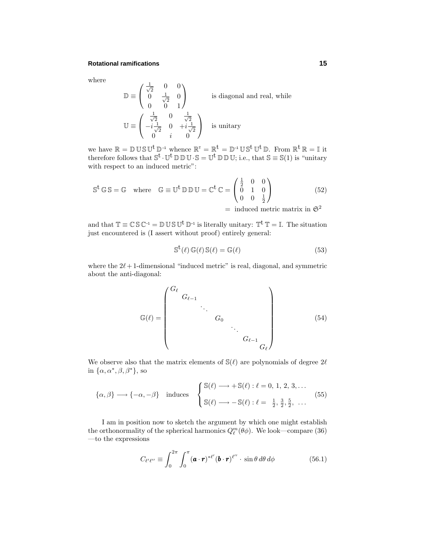#### **Rotational ramifications 15**

1

where

$$
\mathbb{D} \equiv \begin{pmatrix} \frac{1}{\sqrt{2}} & 0 & 0 \\ 0 & \frac{1}{\sqrt{2}} & 0 \\ 0 & 0 & 1 \end{pmatrix}
$$
 is diagonal and real, while  

$$
\mathbb{U} \equiv \begin{pmatrix} \frac{1}{\sqrt{2}} & 0 & \frac{1}{\sqrt{2}} \\ -i\frac{1}{\sqrt{2}} & 0 & +i\frac{1}{\sqrt{2}} \\ 0 & i & 0 \end{pmatrix}
$$
 is unitary

we have  $\mathbb{R} = \mathbb{D} \cup \mathbb{S} \cup^{\mathbf{t}} \mathbb{D}^{\mathbf{-1}}$  whence  $\mathbb{R}^{\mathbf{t}} = \mathbb{R}^{\mathbf{t}} = \mathbb{D}^{\mathbf{-1}} \cup \mathbb{S}^{\mathbf{t}} \cup^{\mathbf{t}} \mathbb{D}$ . From  $\mathbb{R}^{\mathbf{t}} \mathbb{R} = \mathbb{I}$  it therefore follows that  $\mathbb{S}^{\mathfrak{t}}\cdot\mathbb{U}^{\mathfrak{t}}\mathbb{D}\mathbb{D}\mathbb{U}\cdot\mathbb{S}=\mathbb{U}^{\mathfrak{t}}\mathbb{D}\mathbb{D}\mathbb{U}$ ; i.e., that  $\mathbb{S}\equiv\mathbb{S}(1)$  is "unitary with respect to an induced metric":

$$
\mathbb{S}^{\mathsf{t}} \mathbb{G} \mathbb{S} = \mathbb{G} \quad \text{where} \quad \mathbb{G} \equiv \mathbb{U}^{\mathsf{t}} \mathbb{D} \mathbb{D} \mathbb{U} = \mathbb{C}^{\mathsf{t}} \mathbb{C} = \begin{pmatrix} \frac{1}{2} & 0 & 0 \\ 0 & 1 & 0 \\ 0 & 0 & \frac{1}{2} \end{pmatrix} \tag{52}
$$

 $=$  induced metric matrix in  $\mathfrak{S}^2$ 

and that  $\mathbb{T} \equiv \mathbb{C} \mathbb{S} \mathbb{C}^{-1} = \mathbb{D} \mathbb{U} \mathbb{S} \mathbb{U}^{t} \mathbb{D}^{-1}$  is literally unitary:  $\mathbb{T}^{t} \mathbb{T} = \mathbb{I}$ . The situation just encountered is (I assert without proof) entirely general:

$$
S^{\mathbf{t}}(\ell) \mathbb{G}(\ell) S(\ell) = \mathbb{G}(\ell)
$$
\n(53)

where the  $2\ell+1$ -dimensional "induced metric" is real, diagonal, and symmetric about the anti-diagonal:

$$
\mathbb{G}(\ell) = \begin{pmatrix} G_{\ell} & & & & \\ & G_{\ell-1} & & & \\ & & G_0 & & \\ & & & \ddots & \\ & & & & G_{\ell-1} & \\ & & & & & G_{\ell} \end{pmatrix}
$$
 (54)

We observe also that the matrix elements of  $\mathbb{S}(\ell)$  are polynomials of degree  $2\ell$ in  $\{\alpha, \alpha^*, \beta, \beta^*\},$  so

$$
\{\alpha,\beta\} \longrightarrow \{-\alpha,-\beta\} \quad \text{induces} \quad \begin{cases} \mathbb{S}(\ell) \longrightarrow +\mathbb{S}(\ell) : \ell = 0, 1, 2, 3, \dots \\ \mathbb{S}(\ell) \longrightarrow -\mathbb{S}(\ell) : \ell = \frac{1}{2}, \frac{3}{2}, \frac{5}{2}, \dots \end{cases} \tag{55}
$$

I am in position now to sketch the argument by which one might establish the orthonormality of the spherical harmonics  $Q_{\ell}^m(\theta \phi)$ . We look—compare (36) —to the expressions

$$
C_{\ell'\ell''} \equiv \int_0^{2\pi} \int_0^{\pi} (\boldsymbol{a} \cdot \boldsymbol{r})^{*\ell'} (\boldsymbol{b} \cdot \boldsymbol{r})^{\ell''} \cdot \sin \theta \, d\theta \, d\phi \qquad (56.1)
$$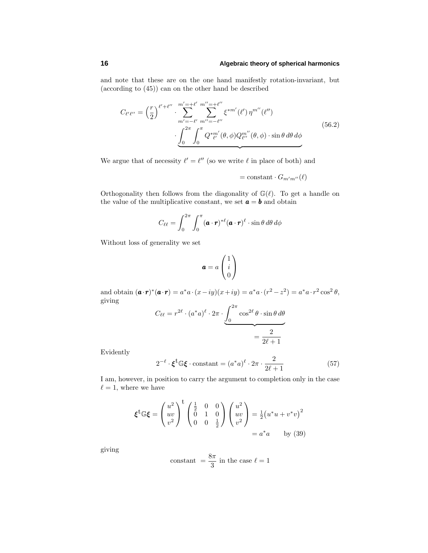and note that these are on the one hand manifestly rotation-invariant, but (according to (45)) can on the other hand be described

$$
C_{\ell'\ell''} = \left(\frac{r}{2}\right)^{\ell'+\ell''} \cdot \sum_{m'=-\ell'}^{m'=-\ell'} \sum_{m''=-\ell''}^{m''=+\ell''} \xi^{*m'}(\ell') \,\eta^{m''}(\ell'')
$$
\n
$$
\cdot \underbrace{\int_0^{2\pi} \int_0^{\pi} Q^{*m'}_{\ell'}(\theta,\phi) Q^{m''}_{\ell''}(\theta,\phi) \cdot \sin\theta \,d\theta \,d\phi}_{\ell''}
$$
\n(56.2)

We argue that of necessity  $\ell' = \ell''$  (so we write  $\ell$  in place of both) and

$$
= \mathrm{constant} \cdot G_{m'm''}(\ell)
$$

Orthogonality then follows from the diagonality of  $\mathbb{G}(\ell)$ . To get a handle on the value of the multiplicative constant, we set  $\mathbf{a} = \mathbf{b}$  and obtain

$$
C_{\ell\ell} = \int_0^{2\pi} \int_0^{\pi} (\boldsymbol{a} \cdot \boldsymbol{r})^{*\ell} (\boldsymbol{a} \cdot \boldsymbol{r})^{\ell} \cdot \sin \theta \, d\theta \, d\phi
$$

Without loss of generality we set

$$
\mathbf{a} = a \begin{pmatrix} 1 \\ i \\ 0 \end{pmatrix}
$$

and obtain  $(\mathbf{a} \cdot \mathbf{r})^* (\mathbf{a} \cdot \mathbf{r}) = a^* a \cdot (x - iy)(x + iy) = a^* a \cdot (r^2 - z^2) = a^* a \cdot r^2 \cos^2 \theta$ , giving

$$
C_{\ell\ell} = r^{2\ell} \cdot (a^*a)^{\ell} \cdot 2\pi \cdot \underbrace{\int_0^{2\pi} \cos^{2\ell} \theta \cdot \sin \theta \, d\theta}_{\ell} = \frac{2}{2\ell + 1}
$$

Evidently

$$
2^{-\ell} \cdot \xi^{\dagger} \mathbb{G} \xi \cdot \text{constant} = (a^* a)^{\ell} \cdot 2\pi \cdot \frac{2}{2\ell + 1} \tag{57}
$$

I am, however, in position to carry the argument to completion only in the case  $\ell = 1$ , where we have

$$
\boldsymbol{\xi}^{\mathrm{t}} \mathbb{G} \boldsymbol{\xi} = \begin{pmatrix} u^2 \\ uv \\ v^2 \end{pmatrix}^{\mathrm{t}} \begin{pmatrix} \frac{1}{2} & 0 & 0 \\ 0 & 1 & 0 \\ 0 & 0 & \frac{1}{2} \end{pmatrix} \begin{pmatrix} u^2 \\ uv \\ v^2 \end{pmatrix} = \frac{1}{2} (u^* u + v^* v)^2
$$

$$
= a^* a \qquad \text{by (39)}
$$

giving

$$
{\rm constant}~= \frac{8\pi}{3}~{\rm in~the~case}~\ell=1
$$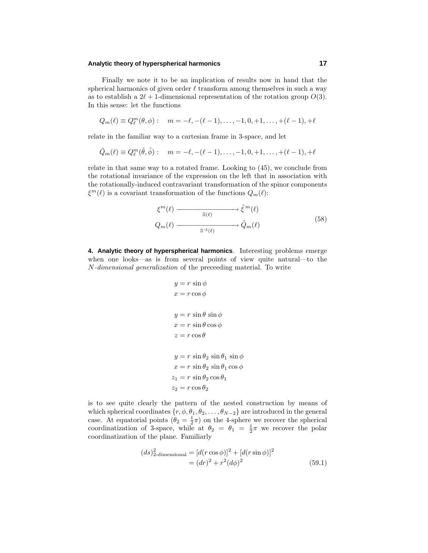#### **Analytic theory of hyperspherical harmonics 17**

Finally we note it to be an implication of results now in hand that the spherical harmonics of given order  $\ell$  transform among themselves in such a way as to establish a  $2\ell + 1$ -dimensional representation of the rotation group  $O(3)$ . In this sense: let the functions

$$
Q_m(\ell) \equiv Q_{\ell}^m(\theta,\phi): \quad m = -\ell, -(\ell - 1), \dots, -1, 0, +1, \dots, +(\ell - 1), +\ell
$$

relate in the familiar way to a cartesian frame in 3-space, and let

$$
\tilde{Q}_m(\ell) \equiv Q_{\ell}^m(\tilde{\theta}, \tilde{\phi}) : m = -\ell, -(\ell - 1), \dots, -1, 0, +1, \dots, +(\ell - 1), +\ell
$$

relate in that same way to a rotated frame. Looking to (45), we conclude from the rotational invariance of the expression on the left that in association with the rotationally-induced contravariant transformation of the spinor components  $\xi^{m}(\ell)$  is a covariant transformation of the functions  $Q_{m}(\ell)$ :

$$
\xi^{m}(\ell) \longrightarrow \widetilde{\xi}^{m}(\ell)
$$
  
\n
$$
Q_{m}(\ell) \longrightarrow \widetilde{Q}_{m}(\ell) \longrightarrow \widetilde{Q}_{m}(\ell) \tag{58}
$$

**4. Analytic theory of hyperspherical harmonics**. Interesting problems emerge when one looks—as is from several points of view quite natural—to the *N*-dimensional generalization of the preceeding material. To write

$$
y = r \sin \phi
$$
  
\n
$$
x = r \cos \phi
$$
  
\n
$$
y = r \sin \theta \sin \phi
$$
  
\n
$$
x = r \sin \theta \cos \phi
$$
  
\n
$$
z = r \cos \theta
$$
  
\n
$$
y = r \sin \theta_2 \sin \theta_1 \sin \phi
$$
  
\n
$$
x = r \sin \theta_2 \cos \theta_1
$$
  
\n
$$
z_2 = r \cos \theta_2
$$

is to see quite clearly the pattern of the nested construction by means of which spherical coordinates  $\{r, \phi, \theta_1, \theta_2, \ldots, \theta_{N-2}\}$  are introduced in the general case. At equatorial points  $(\theta_2 = \frac{1}{2}\pi)$  on the 4-sphere we recover the spherical coordinatization of 3-space, while at  $\theta_2 = \theta_1 = \frac{1}{2}\pi$  we recover the polar coordinatization of the plane. Familiarly

$$
(ds)_{2\text{-dimensional}}^{2} = [d(r\cos\phi)]^{2} + [d(r\sin\phi)]^{2}
$$
  
=  $(dr)^{2} + r^{2}(d\phi)^{2}$  (59.1)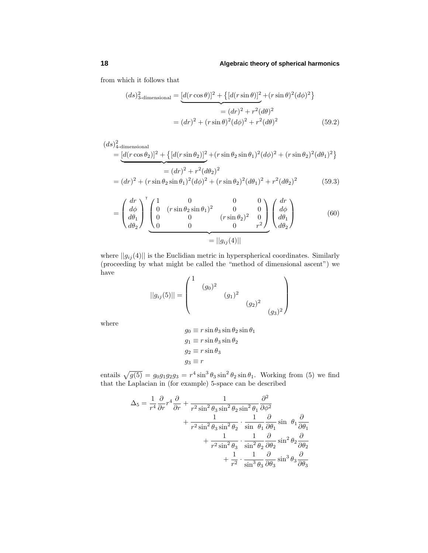from which it follows that

$$
(ds)_{3\text{-dimensional}}^{2} = \underbrace{[d(r\cos\theta)]^{2} + \{[d(r\sin\theta)]^{2} + (r\sin\theta)^{2}(d\phi)^{2}\}}_{=(dr)^{2} + r^{2}(d\theta)^{2}}
$$
  
= 
$$
(dr)^{2} + (r\sin\theta)^{2}(d\phi)^{2} + r^{2}(d\theta)^{2}
$$
(59.2)

$$
(ds)_4^2\text{-dimensional}
$$
  
= 
$$
\underbrace{[d(r\cos\theta_2)]^2 + \{[d(r\sin\theta_2)]^2 + (r\sin\theta_2\sin\theta_1)^2(d\phi)^2 + (r\sin\theta_2)^2(d\theta_1)^2\}}_{=(dr)^2 + r^2(d\theta_2)^2}
$$
  
= 
$$
(dr)^2 + (r\sin\theta_2\sin\theta_1)^2(d\phi)^2 + (r\sin\theta_2)^2(d\theta_1)^2 + r^2(d\theta_2)^2
$$
(59.3)

$$
= \begin{pmatrix} dr \\ d\phi \\ d\theta_1 \\ d\theta_2 \end{pmatrix}^{\text{T}} \underbrace{\begin{pmatrix} 1 & 0 & 0 & 0 \\ 0 & (r\sin\theta_2\sin\theta_1)^2 & 0 & 0 \\ 0 & 0 & (r\sin\theta_2)^2 & 0 \\ 0 & 0 & 0 & r^2 \end{pmatrix}}_{= ||g_{ij}(4)||} \begin{pmatrix} dr \\ d\phi \\ d\theta_1 \\ d\theta_2 \end{pmatrix}
$$
(60)

where  $||g_{ij}(4)||$  is the Euclidian metric in hyperspherical coordinates. Similarly (proceeding by what might be called the "method of dimensional ascent") we have

$$
||g_{ij}(5)|| = \begin{pmatrix} 1 & (g_0)^2 & & & \\ & (g_1)^2 & & \\ & & (g_2)^2 & \\ & & & (g_3)^2 \end{pmatrix}
$$

where

$$
g_0 \equiv r \sin \theta_3 \sin \theta_2 \sin \theta_1
$$
  
\n
$$
g_1 \equiv r \sin \theta_3 \sin \theta_2
$$
  
\n
$$
g_2 \equiv r \sin \theta_3
$$
  
\n
$$
g_3 \equiv r
$$

entails  $\sqrt{g(5)} = g_0 g_1 g_2 g_3 = r^4 \sin^3 \theta_3 \sin^2 \theta_2 \sin \theta_1$ . Working from (5) we find that the Laplacian in (for example) 5-space can be described

$$
\Delta_5 = \frac{1}{r^4} \frac{\partial}{\partial r} r^4 \frac{\partial}{\partial r} + \frac{1}{r^2 \sin^2 \theta_3 \sin^2 \theta_2 \sin^2 \theta_1} \frac{\partial^2}{\partial \phi^2} \n+ \frac{1}{r^2 \sin^2 \theta_3 \sin^2 \theta_2} \cdot \frac{1}{\sin \theta_1} \frac{\partial}{\partial \theta_1} \sin \theta_1 \frac{\partial}{\partial \theta_1} \n+ \frac{1}{r^2 \sin^2 \theta_3} \cdot \frac{1}{\sin^2 \theta_2} \frac{\partial}{\partial \theta_2} \sin^2 \theta_2 \frac{\partial}{\partial \theta_2} \n+ \frac{1}{r^2} \cdot \frac{1}{\sin^3 \theta_3} \frac{\partial}{\partial \theta_3} \sin^3 \theta_3 \frac{\partial}{\partial \theta_3}
$$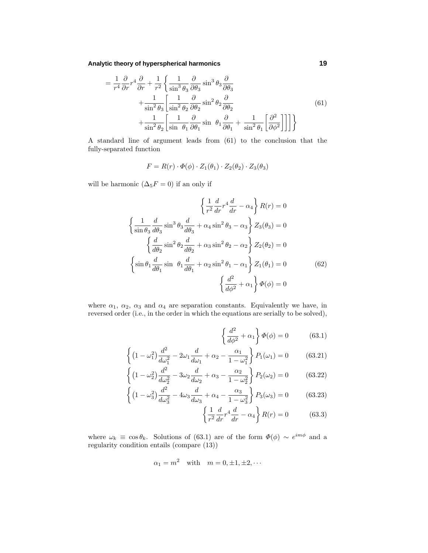**Analytic theory of hyperspherical harmonics 19**

$$
= \frac{1}{r^4} \frac{\partial}{\partial r} r^4 \frac{\partial}{\partial r} + \frac{1}{r^2} \left\{ \frac{1}{\sin^3 \theta_3} \frac{\partial}{\partial \theta_3} \sin^3 \theta_3 \frac{\partial}{\partial \theta_3} + \frac{1}{\sin^2 \theta_3} \left[ \frac{1}{\sin^2 \theta_2} \frac{\partial}{\partial \theta_2} \sin^2 \theta_2 \frac{\partial}{\partial \theta_2} + \frac{1}{\sin^2 \theta_2} \left[ \frac{1}{\sin \theta_1} \frac{\partial}{\partial \theta_1} \sin \theta_1 \frac{\partial}{\partial \theta_1} + \frac{1}{\sin^2 \theta_1} \left[ \frac{\partial^2}{\partial \phi^2} \right] \right] \right\}
$$
(61)

A standard line of argument leads from (61) to the conclusion that the fully-separated function

$$
F = R(r) \cdot \Phi(\phi) \cdot Z_1(\theta_1) \cdot Z_2(\theta_2) \cdot Z_3(\theta_3)
$$

will be harmonic  $(\Delta_5 F = 0)$  if an only if

$$
\left\{\frac{1}{r^2}\frac{d}{dr}r^4\frac{d}{dr}-\alpha_4\right\}R(r)=0
$$

$$
\left\{\frac{1}{\sin\theta_3}\frac{d}{d\theta_3}\sin^3\theta_3\frac{d}{d\theta_3}+\alpha_4\sin^2\theta_3-\alpha_3\right\}Z_3(\theta_3)=0
$$

$$
\left\{\frac{d}{d\theta_2}\sin^2\theta_2\frac{d}{d\theta_2}+\alpha_3\sin^2\theta_2-\alpha_2\right\}Z_2(\theta_2)=0
$$

$$
\left\{\sin\theta_1\frac{d}{d\theta_1}\sin\theta_1\frac{d}{d\theta_1}+\alpha_2\sin^2\theta_1-\alpha_1\right\}Z_1(\theta_1)=0
$$
(62)
$$
\left\{\frac{d^2}{d\phi^2}+\alpha_1\right\}\Phi(\phi)=0
$$

where  $\alpha_1$ ,  $\alpha_2$ ,  $\alpha_3$  and  $\alpha_4$  are separation constants. Equivalently we have, in reversed order (i.e., in the order in which the equations are serially to be solved),

$$
\left\{\frac{d^2}{d\phi^2} + \alpha_1\right\}\Phi(\phi) = 0 \tag{63.1}
$$

$$
\left\{ \left(1 - \omega_1^2\right) \frac{d^2}{d\omega_1^2} - 2\omega_1 \frac{d}{d\omega_1} + \alpha_2 - \frac{\alpha_1}{1 - \omega_1^2} \right\} P_1(\omega_1) = 0 \tag{63.21}
$$

$$
\left\{ \left(1 - \omega_2^2\right) \frac{d^2}{d\omega_2^2} - 3\omega_2 \frac{d}{d\omega_2} + \alpha_3 - \frac{\alpha_2}{1 - \omega_2^2} \right\} P_2(\omega_2) = 0 \tag{63.22}
$$

$$
\left\{ \left(1 - \omega_3^2\right) \frac{d^2}{d\omega_3^2} - 4\omega_3 \frac{d}{d\omega_3} + \alpha_4 - \frac{\alpha_3}{1 - \omega_3^2} \right\} P_3(\omega_3) = 0 \tag{63.23}
$$

$$
\left\{\frac{1}{r^2}\frac{d}{dr}r^4\frac{d}{dr} - \alpha_4\right\}R(r) = 0\tag{63.3}
$$

where  $\omega_k \equiv \cos \theta_k$ . Solutions of (63.1) are of the form  $\Phi(\phi) \sim e^{im\phi}$  and a regularity condition entails (compare (13))

$$
\alpha_1 = m^2 \quad \text{with} \quad m = 0, \pm 1, \pm 2, \cdots
$$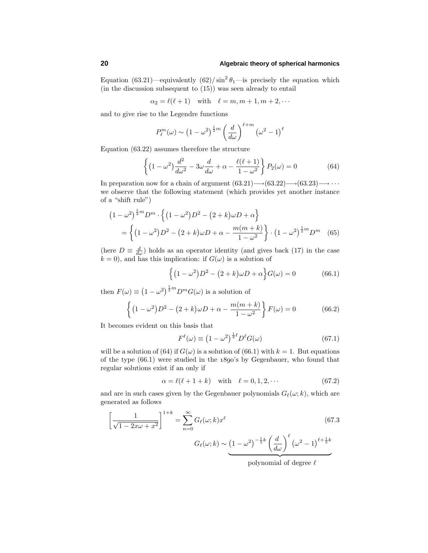Equation (63.21)—equivalently  $(62)/\sin^2\theta_1$ —is precisely the equation which (in the discussion subsequent to (15)) was seen already to entail

 $\alpha_2 = \ell(\ell+1)$  with  $\ell = m, m+1, m+2, \cdots$ 

and to give rise to the Legendre functions

$$
P_{\ell}^{m}(\omega) \sim \left(1 - \omega^{2}\right)^{\frac{1}{2}m} \left(\frac{d}{d\omega}\right)^{\ell+m} \left(\omega^{2} - 1\right)^{\ell}
$$

Equation (63.22) assumes therefore the structure

$$
\left\{ \left(1 - \omega^2\right) \frac{d^2}{d\omega^2} - 3\omega \frac{d}{d\omega} + \alpha - \frac{\ell(\ell+1)}{1 - \omega^2} \right\} P_2(\omega) = 0 \tag{64}
$$

In preparation now for a chain of argument  $(63.21) \rightarrow (63.22) \rightarrow (63.23) \rightarrow \cdots$ we observe that the following statement (which provides yet another instance of a "shift rule")

$$
(1 - \omega^2)^{\frac{1}{2}m} D^m \cdot \left\{ (1 - \omega^2) D^2 - (2 + k)\omega D + \alpha \right\}
$$
  
= 
$$
\left\{ (1 - \omega^2) D^2 - (2 + k)\omega D + \alpha - \frac{m(m + k)}{1 - \omega^2} \right\} \cdot (1 - \omega^2)^{\frac{1}{2}m} D^m
$$
 (65)

(here  $D \equiv \frac{d}{d\omega}$ ) holds as an operator identity (and gives back (17) in the case  $k = 0$ , and has this implication: if  $G(\omega)$  is a solution of

$$
\left\{ \left(1 - \omega^2\right)D^2 - \left(2 + k\right)\omega D + \alpha \right\} G(\omega) = 0 \tag{66.1}
$$

then  $F(\omega) \equiv (1 - \omega^2)^{\frac{1}{2}m} D^m G(\omega)$  is a solution of

$$
\left\{ (1 - \omega^2)D^2 - (2 + k)\omega D + \alpha - \frac{m(m + k)}{1 - \omega^2} \right\} F(\omega) = 0
$$
 (66.2)

It becomes evident on this basis that

$$
F^{\ell}(\omega) \equiv \left(1 - \omega^2\right)^{\frac{1}{2}\ell} D^{\ell} G(\omega) \tag{67.1}
$$

will be a solution of (64) if  $G(\omega)$  is a solution of (66.1) with  $k = 1$ . But equations of the type  $(66.1)$  were studied in the  $1890$ 's by Gegenbauer, who found that regular solutions exist if an only if

$$
\alpha = \ell(\ell + 1 + k) \quad \text{with} \quad \ell = 0, 1, 2, \cdots \tag{67.2}
$$

and are in such cases given by the Gegenbauer polynomials  $G_{\ell}(\omega; k)$ , which are generated as follows

$$
\left[\frac{1}{\sqrt{1-2x\omega+x^2}}\right]^{1+k} = \sum_{n=0}^{\infty} G_{\ell}(\omega;k)x^{\ell}
$$
\n
$$
G_{\ell}(\omega;k) \sim \underbrace{(1-\omega^2)^{-\frac{1}{2}k} \left(\frac{d}{d\omega}\right)^{\ell} (\omega^2-1)^{\ell+\frac{1}{2}k}}_{\text{polynomial of degree }\ell}
$$
\n(67.3)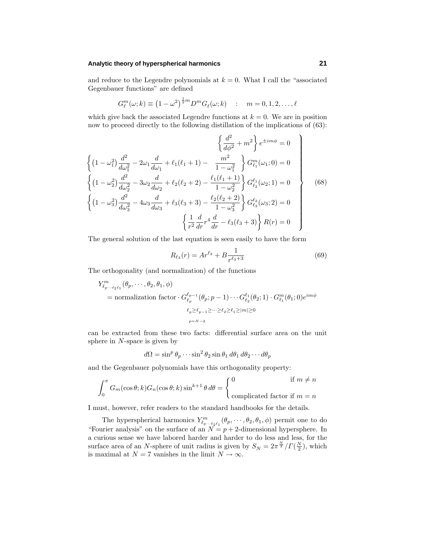### **Analytic theory of hyperspherical harmonics 21**

and reduce to the Legendre polynomials at  $k = 0$ . What I call the "associated" Gegenbauer functions" are defined

$$
G_{\ell}^{m}(\omega;k) \equiv (1 - \omega^2)^{\frac{1}{2}m} D^{m} G_{\ell}(\omega;k) \quad : \quad m = 0, 1, 2, \dots, \ell
$$

which give back the associated Legendre functions at  $k = 0$ . We are in position now to proceed directly to the following distillation of the implications of (63):

*d*<sup>2</sup>

$$
\left\{ (1 - \omega_1^2) \frac{d^2}{d\omega_1^2} - 2\omega_1 \frac{d}{d\omega_1} + \ell_1(\ell_1 + 1) - \frac{m^2}{1 - \omega_1^2} \right\} e^{\pm im\phi} = 0
$$
\n
$$
\left\{ (1 - \omega_2^2) \frac{d^2}{d\omega_2^2} - 3\omega_2 \frac{d}{d\omega_2} + \ell_2(\ell_2 + 2) - \frac{\ell_1(\ell_1 + 1)}{1 - \omega_2^2} \right\} G_{\ell_2}^{\ell_1}(\omega_1; 0) = 0
$$
\n
$$
\left\{ (1 - \omega_2^2) \frac{d^2}{d\omega_2^2} - 4\omega_3 \frac{d}{d\omega_3} + \ell_3(\ell_3 + 3) - \frac{\ell_2(\ell_2 + 2)}{1 - \omega_3^2} \right\} G_{\ell_3}^{\ell_2}(\omega_3; 2) = 0
$$
\n
$$
\left\{ \frac{1}{r^2} \frac{d}{dr} r^4 \frac{d}{dr} - \ell_3(\ell_3 + 3) \right\} R(r) = 0
$$
\n
$$
\left\{ \frac{1}{r^2} \frac{d}{dr} r^4 \frac{d}{dr} - \ell_3(\ell_3 + 3) \right\} R(r) = 0
$$
\n
$$
\left\{ \frac{1}{r^2} \frac{d}{dr} r^4 \frac{d}{dr} - \ell_3(\ell_3 + 3) \right\} R(r) = 0
$$

The general solution of the last equation is seen easily to have the form

$$
R_{\ell_3}(r) = Ar^{\ell_3} + B \frac{1}{r^{\ell_3 + 3}}\tag{69}
$$

The orthogonality (and normalization) of the functions

$$
Y_{\ell_p \dots \ell_2 \ell_1}^m(\theta_p, \dots, \theta_2, \theta_1, \phi)
$$
  
= normalization factor  $\cdot G_{\ell_p}^{\ell_{p-1}}(\theta_p; p-1) \cdots G_{\ell_2}^{\ell_1}(\theta_2; 1) \cdot G_{\ell_1}^m(\theta_1; 0) e^{im\phi}$   
 $\ell_p \ge \ell_{p-1} \ge \dots \ge \ell_2 \ge \ell_1 \ge |m| \ge 0$   
 $p = N-2$ 

can be extracted from these two facts: differential surface area on the unit sphere in *N*-space is given by

$$
d\Omega = \sin^p \theta_p \cdots \sin^2 \theta_2 \sin \theta_1 d\theta_1 d\theta_2 \cdots d\theta_p
$$

and the Gegenbauer polynomials have this orthogonality property:

$$
\int_0^{\pi} G_m(\cos \theta; k) G_n(\cos \theta; k) \sin^{k+1} \theta \, d\theta = \begin{cases} 0 & \text{if } m \neq n \\ \text{complicated factor if } m = n \end{cases}
$$

I must, however, refer readers to the standard handbooks for the details.

The hyperspherical harmonics  $Y^m_{\ell_p \cdots \ell_2 \ell_1}(\theta_p, \cdots, \theta_2, \theta_1, \phi)$  permit one to do "Fourier analysis" on the surface of an  $N = p + 2$ -dimensional hypersphere. In a curious sense we have labored harder and harder to do less and less, for the surface area of an *N*-sphere of unit radius is given by  $S_N = 2\pi \frac{N}{2}/\Gamma(\frac{N}{2})$ , which is maximal at  $N = 7$  vanishes in the limit  $N \to \infty$ .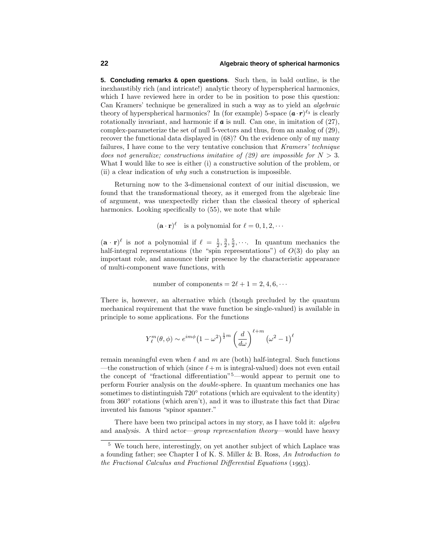**5. Concluding remarks & open questions**. Such then, in bald outline, is the inexhaustibly rich (and intricate!) analytic theory of hyperspherical harmonics, which I have reviewed here in order to be in position to pose this question: Can Kramers' technique be generalized in such a way as to yield an algebraic theory of hyperspherical harmonics? In (for example) 5-space  $(\mathbf{a} \cdot \mathbf{r})^{\ell_3}$  is clearly rotationally invariant, and harmonic if  $\boldsymbol{a}$  is null. Can one, in imitation of (27), complex-parameterize the set of null 5-vectors and thus, from an analog of (29), recover the functional data displayed in (68)? On the evidence only of my many failures, I have come to the very tentative conclusion that Kramers' technique does not generalize; constructions imitative of  $(29)$  are impossible for  $N > 3$ . What I would like to see is either (i) a constructive solution of the problem, or (ii) a clear indication of why such a construction is impossible.

Returning now to the 3-dimensional context of our initial discussion, we found that the transformational theory, as it emerged from the algebraic line of argument, was unexpectedly richer than the classical theory of spherical harmonics. Looking specifically to  $(55)$ , we note that while

$$
(\mathbf{a} \cdot \mathbf{r})^{\ell}
$$
 is a polynomial for  $\ell = 0, 1, 2, \cdots$ 

 $(\mathbf{a} \cdot \mathbf{r})^{\ell}$  is *not* a polynomial if  $\ell = \frac{1}{2}, \frac{3}{2}, \frac{5}{2}, \cdots$ . In quantum mechanics the half-integral representations (the "spin representations") of  $O(3)$  do play an important role, and announce their presence by the characteristic appearance of multi-component wave functions, with

number of components =  $2\ell + 1 = 2, 4, 6, \cdots$ 

There is, however, an alternative which (though precluded by the quantum mechanical requirement that the wave function be single-valued) is available in principle to some applications. For the functions

$$
Y_{\ell}^{m}(\theta,\phi) \sim e^{im\phi} \left(1 - \omega^2\right)^{\frac{1}{2}m} \left(\frac{d}{d\omega}\right)^{\ell+m} \left(\omega^2 - 1\right)^{\ell}
$$

remain meaningful even when  $\ell$  and  $m$  are (both) half-integral. Such functions —the construction of which (since  $\ell+m$  is integral-valued) does not even entail the concept of "fractional differentiation"<sup>5</sup>—would appear to permit one to perform Fourier analysis on the double-sphere. In quantum mechanics one has sometimes to distintinguish 720° rotations (which are equivalent to the identity) from 360<sup>°</sup> rotations (which aren't), and it was to illustrate this fact that Dirac invented his famous "spinor spanner."

There have been two principal actors in my story, as I have told it: *algebra* and *analysis*. A third actor—group representation theory—would have heavy

 $^5\,$  We touch here, interestingly, on yet another subject of which Laplace was a founding father; see Chapter I of K. S. Miller & B. Ross, An Introduction to the Fractional Calculus and Fractional Differential Equations  $(1993)$ .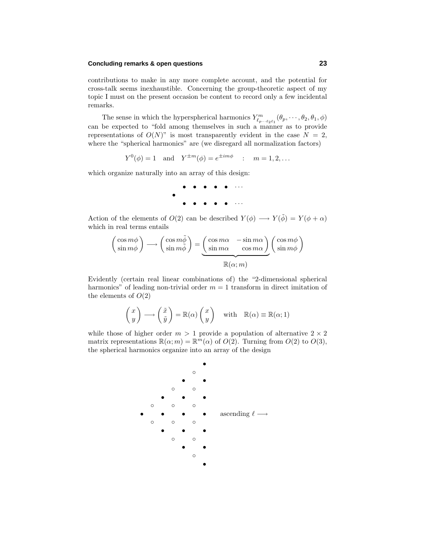## **Concluding remarks & open questions 23**

contributions to make in any more complete account, and the potential for cross-talk seems inexhaustible. Concerning the group-theoretic aspect of my topic I must on the present occasion be content to record only a few incidental remarks.

The sense in which the hyperspherical harmonics  $Y_{\ell_p...\ell_2\ell_1}^m(\theta_p,\dots,\theta_2,\theta_1,\phi)$ can be expected to "fold among themselves in such a manner as to provide representations of  $O(N)$ " is most transparently evident in the case  $N = 2$ , where the "spherical harmonics" are (we disregard all normalization factors)

 $Y^{0}(\phi) = 1$  and  $Y^{\pm m}(\phi) = e^{\pm im\phi}$  :  $m = 1, 2, ...$ 

which organize naturally into an array of this design:

• • • • • ··· • • • • • • ···

Action of the elements of  $O(2)$  can be described  $Y(\phi) \longrightarrow Y(\tilde{\phi}) = Y(\phi + \alpha)$ which in real terms entails

$$
\begin{pmatrix}\n\cos m\phi \\
\sin m\phi\n\end{pmatrix}\n\longrightarrow\n\begin{pmatrix}\n\cos m\tilde{\phi} \\
\sin m\tilde{\phi}\n\end{pmatrix}\n=\n\underbrace{\begin{pmatrix}\n\cos m\alpha & -\sin m\alpha \\
\sin m\alpha & \cos m\alpha\n\end{pmatrix}}_{\mathbb{R}(\alpha;m)}\n\begin{pmatrix}\n\cos m\phi \\
\sin m\phi\n\end{pmatrix}
$$

Evidently (certain real linear combinations of) the "2-dimensional spherical harmonics" of leading non-trivial order  $m = 1$  transform in direct imitation of the elements of  $O(2)$ 

$$
\begin{pmatrix} x \\ y \end{pmatrix} \longrightarrow \begin{pmatrix} \tilde{x} \\ \tilde{y} \end{pmatrix} = \mathbb{R}(\alpha) \begin{pmatrix} x \\ y \end{pmatrix} \quad \text{with} \quad \mathbb{R}(\alpha) \equiv \mathbb{R}(\alpha; 1)
$$

while those of higher order  $m > 1$  provide a population of alternative  $2 \times 2$ matrix representations  $\mathbb{R}(\alpha; m) = \mathbb{R}^m(\alpha)$  of  $O(2)$ . Turning from  $O(2)$  to  $O(3)$ , the spherical harmonics organize into an array of the design

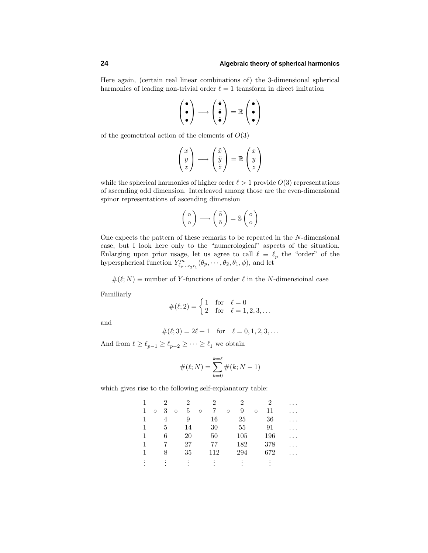Here again, (certain real linear combinations of) the 3-dimensional spherical harmonics of leading non-trivial order  $\ell = 1$  transform in direct imitation

$$
\begin{pmatrix} \bullet \\ \bullet \\ \bullet \end{pmatrix} \longrightarrow \begin{pmatrix} \widetilde{\bullet} \\ \widetilde{\bullet} \\ \widetilde{\bullet} \end{pmatrix} = \mathbb{R} \begin{pmatrix} \bullet \\ \bullet \\ \bullet \end{pmatrix}
$$

of the geometrical action of the elements of *O*(3)

$$
\begin{pmatrix} x \\ y \\ z \end{pmatrix} \longrightarrow \begin{pmatrix} \tilde{x} \\ \tilde{y} \\ \tilde{z} \end{pmatrix} = \mathbb{R} \begin{pmatrix} x \\ y \\ z \end{pmatrix}
$$

while the spherical harmonics of higher order  $\ell > 1$  provide  $O(3)$  representations of ascending odd dimension. Interleaved among those are the even-dimensional spinor representations of ascending dimension

$$
\begin{pmatrix} 0 \\ 0 \end{pmatrix} \longrightarrow \begin{pmatrix} \tilde{0} \\ \tilde{0} \end{pmatrix} = \mathbb{S} \begin{pmatrix} 0 \\ 0 \end{pmatrix}
$$

One expects the pattern of these remarks to be repeated in the *N*-dimensional case, but I look here only to the "numerological" aspects of the situation. Enlarging upon prior usage, let us agree to call  $\ell \equiv \ell_p$  the "order" of the hyperspherical function  $Y^m_{\ell_p \cdots \ell_2 \ell_1} (\theta_p, \cdots, \theta_2, \theta_1, \phi)$ , and let

 $\#(\ell; N) \equiv$  number of *Y*-functions of order  $\ell$  in the *N*-dimensional case

Familiarly

$$
\#(\ell;2) = \begin{cases} 1 & \text{for } \ell = 0 \\ 2 & \text{for } \ell = 1,2,3,\dots \end{cases}
$$

and

$$
\#(\ell;3) = 2\ell + 1 \quad \text{for} \quad \ell = 0, 1, 2, 3, \dots
$$

And from  $\ell \geq \ell_{p-1} \geq \ell_{p-2} \geq \cdots \geq \ell_1$  we obtain

$$
\#(\ell;N) = \sum_{k=0}^{k=\ell} \#(k;N-1)
$$

which gives rise to the following self-explanatory table:

|   |   | 2 |         | $\mathfrak{D}$ |         | 2   |         | 2   |         | 2   | $\cdots$ |
|---|---|---|---------|----------------|---------|-----|---------|-----|---------|-----|----------|
| 1 | O | 3 | $\circ$ | 5              | $\circ$ |     | $\circ$ | 9   | $\circ$ | 11  |          |
| 1 |   | 4 |         | 9              |         | 16  |         | 25  |         | 36  | .        |
| 1 |   | 5 |         | 14             |         | 30  |         | 55  |         | 91  | .        |
|   |   | 6 |         | 20             |         | 50  |         | 105 |         | 196 |          |
|   |   |   |         | 27             |         | 77  |         | 182 |         | 378 | .        |
|   |   | 8 |         | 35             |         | 112 |         | 294 |         | 672 |          |
|   |   |   |         |                |         |     |         |     |         |     |          |
|   |   |   |         |                |         |     |         |     |         |     |          |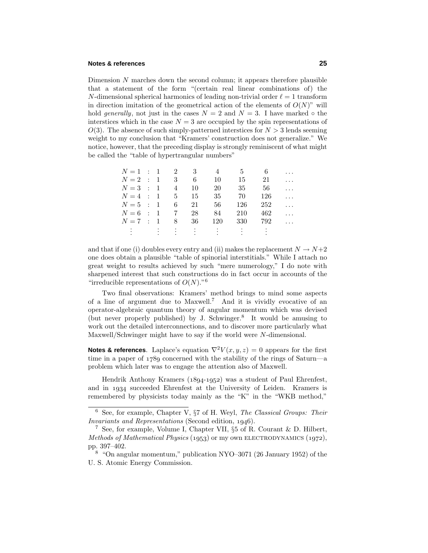#### **Notes & references 25**

Dimension *N* marches down the second column; it appears therefore plausible that a statement of the form "(certain real linear combinations of) the *N*-dimensional spherical harmonics of leading non-trivial order  $\ell = 1$  transform in direction imitation of the geometrical action of the elements of  $O(N)$ " will hold generally, not just in the cases  $N = 2$  and  $N = 3$ . I have marked  $\circ$  the interstices which in the case  $N = 3$  are occupied by the spin representations of  $O(3)$ . The absence of such simply-patterned interstices for  $N > 3$  lends seeming weight to my conclusion that "Kramers' construction does not generalize." We notice, however, that the preceding display is strongly reminiscent of what might be called the "table of hypertrangular numbers"

| $N=1$ : 1 2 3  |  |                           |    |                     | 5   |     | $\cdots$ |
|----------------|--|---------------------------|----|---------------------|-----|-----|----------|
| $N=2$ : 1      |  | $\overline{\phantom{a}3}$ | 6  | 10                  | 15  | 21  | $\cdots$ |
| $N=3$ : 1      |  | $\overline{4}$            | 10 | 20                  | 35  | 56  | $\ldots$ |
| $N = 4$ : 1 5  |  |                           | 15 | 35                  | 70  | 126 | $\ldots$ |
| $N=5$ : 1      |  | 6                         | 21 | 56                  | 126 | 252 | .        |
| $N = 6$ : 1    |  | $7\overline{7}$           | 28 | 84                  | 210 | 462 | $\cdots$ |
| $N=7$ : 1      |  | 8 <sup>8</sup>            | 36 | 120                 | 330 | 792 | $\cdots$ |
| <b>SECTION</b> |  |                           |    | しまい しまいし まいしょうおうしょう |     |     |          |
|                |  |                           |    |                     |     |     |          |

and that if one (i) doubles every entry and (ii) makes the replacement  $N \to N+2$ one does obtain a plausible "table of spinorial interstitials." While I attach no great weight to results achieved by such "mere numerology," I do note with sharpened interest that such constructions do in fact occur in accounts of the "irreducible representations of *O*(*N*)."<sup>6</sup>

Two final observations: Kramers' method brings to mind some aspects of a line of argument due to Maxwell.<sup>7</sup> And it is vividly evocative of an operator-algebraic quantum theory of angular momentum which was devised (but never properly published) by J. Schwinger.<sup>8</sup> It would be amusing to work out the detailed interconnections, and to discover more particularly what Maxwell/Schwinger might have to say if the world were *N*-dimensional.

**Notes & references**. Laplace's equation  $\nabla^2 V(x, y, z) = 0$  appears for the first time in a paper of  $1789$  concerned with the stability of the rings of Saturn—a problem which later was to engage the attention also of Maxwell.

Hendrik Anthony Kramers  $(1894-1952)$  was a student of Paul Ehrenfest, and in 1934 succeeded Ehrenfest at the University of Leiden. Kramers is remembered by physicists today mainly as the "K" in the "WKB method,"

 $6$  See, for example, Chapter V,  $\S7$  of H. Weyl, The Classical Groups: Their Invariants and Representations (Second edition, 1946).

<sup>7</sup> See, for example, Volume I, Chapter VII, §5 of R. Courant & D. Hilbert, Methods of Mathematical Physics (1953) or my own ELECTRODYNAMICS (1972), pp. 397–402.

<sup>8</sup> "On angular momentum," publication NYO–3071(26 January 1952) of the U. S. Atomic Energy Commission.